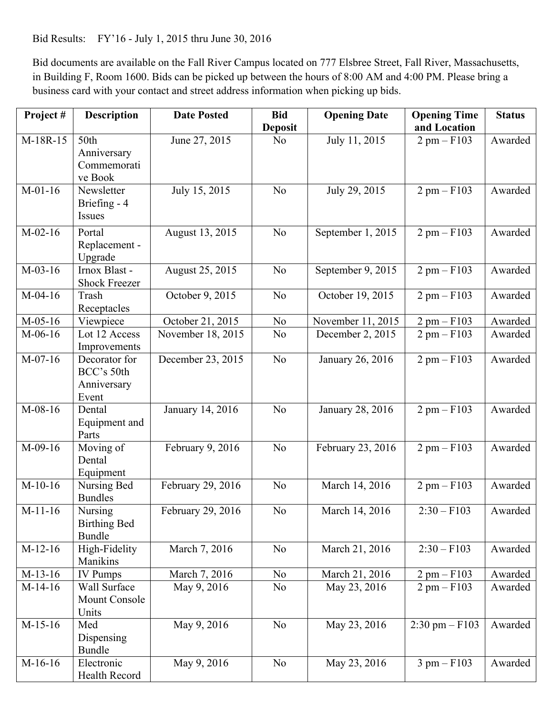Bid Results: FY'16 - July 1, 2015 thru June 30, 2016

 in Building F, Room 1600. Bids can be picked up between the hours of 8:00 AM and 4:00 PM. Please bring a Bid documents are available on the Fall River Campus located on 777 Elsbree Street, Fall River, Massachusetts, business card with your contact and street address information when picking up bids.

| Project#  | <b>Description</b>                                  | <b>Date Posted</b> | <b>Bid</b>     | <b>Opening Date</b> | <b>Opening Time</b>          | <b>Status</b> |
|-----------|-----------------------------------------------------|--------------------|----------------|---------------------|------------------------------|---------------|
|           |                                                     |                    | <b>Deposit</b> |                     | and Location                 |               |
| M-18R-15  | 50th<br>Anniversary<br>Commemorati<br>ve Book       | June 27, 2015      | N <sub>0</sub> | July 11, 2015       | $2$ pm $-$ F103              | Awarded       |
| $M-01-16$ | Newsletter<br>Briefing - 4<br>Issues                | July 15, 2015      | N <sub>o</sub> | July 29, 2015       | $2$ pm $-$ F103              | Awarded       |
| $M-02-16$ | Portal<br>Replacement -<br>Upgrade                  | August 13, 2015    | N <sub>o</sub> | September 1, 2015   | $2$ pm $-$ F103              | Awarded       |
| $M-03-16$ | Irnox Blast -<br><b>Shock Freezer</b>               | August 25, 2015    | N <sub>o</sub> | September 9, 2015   | $2$ pm $-$ F103              | Awarded       |
| $M-04-16$ | Trash<br>Receptacles                                | October 9, 2015    | N <sub>o</sub> | October 19, 2015    | $2 \text{ pm} - \text{F}103$ | Awarded       |
| $M-05-16$ | Viewpiece                                           | October 21, 2015   | N <sub>o</sub> | November 11, 2015   | $2$ pm $-$ F103              | Awarded       |
| $M-06-16$ | Lot 12 Access<br>Improvements                       | November 18, 2015  | N <sub>o</sub> | December 2, 2015    | $2$ pm $-$ F103              | Awarded       |
| $M-07-16$ | Decorator for<br>BCC's 50th<br>Anniversary<br>Event | December 23, 2015  | N <sub>o</sub> | January 26, 2016    | $2$ pm $-$ F103              | Awarded       |
| $M-08-16$ | Dental<br>Equipment and<br>Parts                    | January 14, 2016   | N <sub>o</sub> | January 28, 2016    | $2$ pm $-$ F103              | Awarded       |
| $M-09-16$ | Moving of<br>Dental<br>Equipment                    | February 9, 2016   | N <sub>o</sub> | February 23, 2016   | $2$ pm $-$ F103              | Awarded       |
| $M-10-16$ | Nursing Bed<br><b>Bundles</b>                       | February 29, 2016  | N <sub>0</sub> | March 14, 2016      | $2$ pm $-$ F103              | Awarded       |
| $M-11-16$ | Nursing<br><b>Birthing Bed</b><br><b>Bundle</b>     | February 29, 2016  | N <sub>o</sub> | March 14, 2016      | $2:30 - F103$                | Awarded       |
| $M-12-16$ | High-Fidelity<br>Manikins                           | March 7, 2016      | N <sub>o</sub> | March 21, 2016      | $2:30 - F103$                | Awarded       |
| $M-13-16$ | <b>IV Pumps</b>                                     | March 7, 2016      | N <sub>o</sub> | March 21, 2016      | $2$ pm $-$ F103              | Awarded       |
| $M-14-16$ | Wall Surface<br>Mount Console<br>Units              | May 9, 2016        | N <sub>0</sub> | May 23, 2016        | $2$ pm $-$ F103              | Awarded       |
| $M-15-16$ | Med<br>Dispensing<br><b>Bundle</b>                  | May 9, 2016        | N <sub>o</sub> | May 23, 2016        | $2:30 \text{ pm} - F103$     | Awarded       |
| $M-16-16$ | Electronic<br>Health Record                         | May 9, 2016        | N <sub>0</sub> | May 23, 2016        | $3 \text{ pm} - \text{F}103$ | Awarded       |